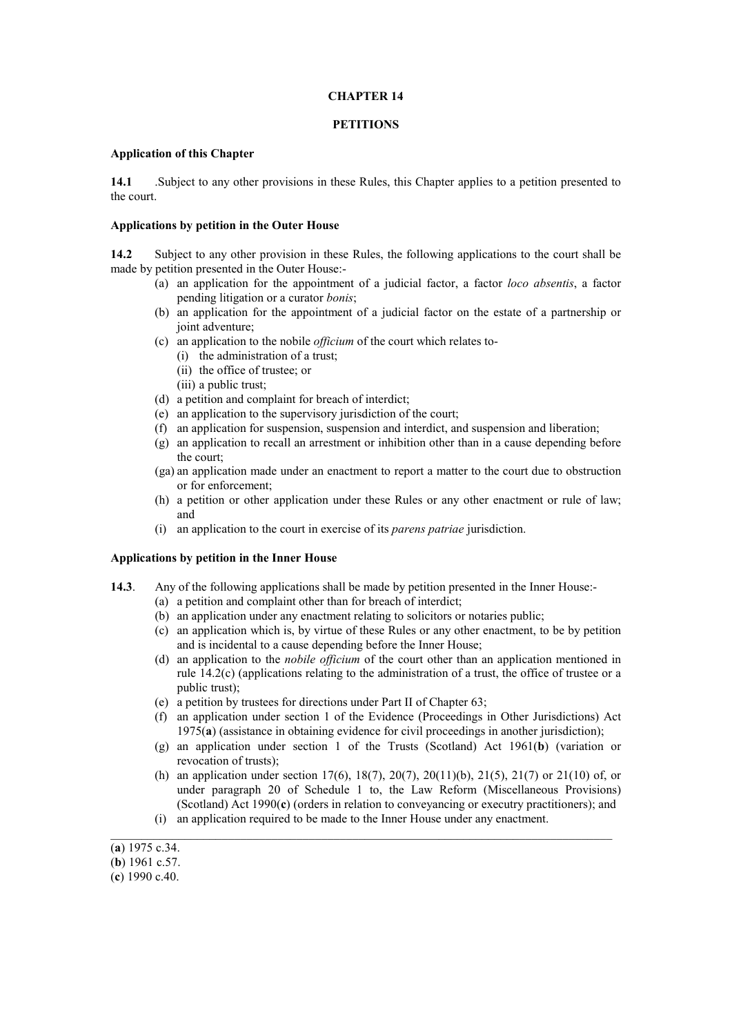### **CHAPTER 14**

## **PETITIONS**

# **Application of this Chapter**

**14.1** .Subject to any other provisions in these Rules, this Chapter applies to a petition presented to the court.

## **Applications by petition in the Outer House**

**14.2** Subject to any other provision in these Rules, the following applications to the court shall be made by petition presented in the Outer House:-

- (a) an application for the appointment of a judicial factor, a factor *loco absentis*, a factor pending litigation or a curator *bonis*;
- (b) an application for the appointment of a judicial factor on the estate of a partnership or joint adventure;
- (c) an application to the nobile *officium* of the court which relates to-
	- (i) the administration of a trust;
	- (ii) the office of trustee; or
	- (iii) a public trust;
- (d) a petition and complaint for breach of interdict;
- (e) an application to the supervisory jurisdiction of the court;
- (f) an application for suspension, suspension and interdict, and suspension and liberation;
- (g) an application to recall an arrestment or inhibition other than in a cause depending before the court;
- (ga) an application made under an enactment to report a matter to the court due to obstruction or for enforcement;
- (h) a petition or other application under these Rules or any other enactment or rule of law; and
- (i) an application to the court in exercise of its *parens patriae* jurisdiction.

## **Applications by petition in the Inner House**

- **14.3**. Any of the following applications shall be made by petition presented in the Inner House:-
	- (a) a petition and complaint other than for breach of interdict;
	- (b) an application under any enactment relating to solicitors or notaries public;
	- (c) an application which is, by virtue of these Rules or any other enactment, to be by petition and is incidental to a cause depending before the Inner House;
	- (d) an application to the *nobile officium* of the court other than an application mentioned in rule 14.2(c) (applications relating to the administration of a trust, the office of trustee or a public trust);
	- (e) a petition by trustees for directions under Part II of Chapter 63;
	- (f) an application under section 1 of the Evidence (Proceedings in Other Jurisdictions) Act 1975(**a**) (assistance in obtaining evidence for civil proceedings in another jurisdiction);
	- (g) an application under section 1 of the Trusts (Scotland) Act 1961(**b**) (variation or revocation of trusts);
	- (h) an application under section 17(6), 18(7), 20(7), 20(11)(b), 21(5), 21(7) or 21(10) of, or under paragraph 20 of Schedule 1 to, the Law Reform (Miscellaneous Provisions) (Scotland) Act 1990(**c**) (orders in relation to conveyancing or executry practitioners); and
	- (i) an application required to be made to the Inner House under any enactment.

\_\_\_\_\_\_\_\_\_\_\_\_\_\_\_\_\_\_\_\_\_\_\_\_\_\_\_\_\_\_\_\_\_\_\_\_\_\_\_\_\_\_\_\_\_\_\_\_\_\_\_\_\_\_\_\_\_\_\_\_\_\_\_\_\_\_\_\_\_\_\_\_\_\_\_\_\_\_\_\_\_

<sup>(</sup>**a**) 1975 c.34.

<sup>(</sup>**b**) 1961 c.57.

<sup>(</sup>**c**) 1990 c.40.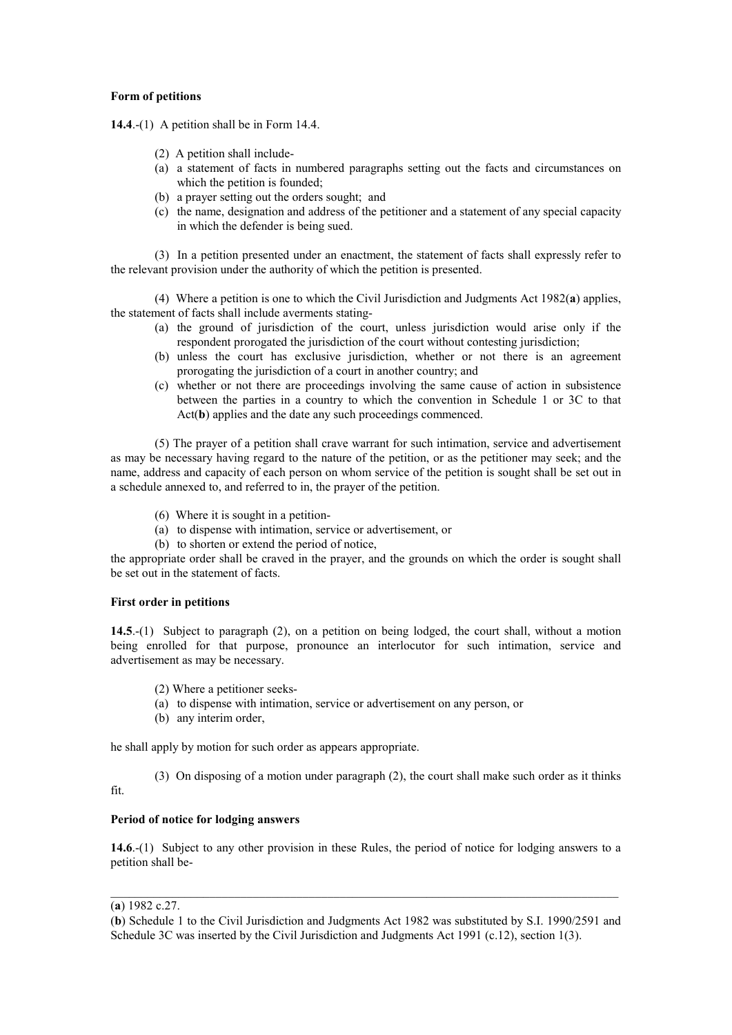## **Form of petitions**

**14.4**.-(1) A petition shall be in Form 14.4.

- (2) A petition shall include-
- (a) a statement of facts in numbered paragraphs setting out the facts and circumstances on which the petition is founded;
- (b) a prayer setting out the orders sought; and
- (c) the name, designation and address of the petitioner and a statement of any special capacity in which the defender is being sued.

(3) In a petition presented under an enactment, the statement of facts shall expressly refer to the relevant provision under the authority of which the petition is presented.

(4) Where a petition is one to which the Civil Jurisdiction and Judgments Act 1982(**a**) applies, the statement of facts shall include averments stating-

- (a) the ground of jurisdiction of the court, unless jurisdiction would arise only if the respondent prorogated the jurisdiction of the court without contesting jurisdiction;
- (b) unless the court has exclusive jurisdiction, whether or not there is an agreement prorogating the jurisdiction of a court in another country; and
- (c) whether or not there are proceedings involving the same cause of action in subsistence between the parties in a country to which the convention in Schedule 1 or 3C to that Act(**b**) applies and the date any such proceedings commenced.

(5) The prayer of a petition shall crave warrant for such intimation, service and advertisement as may be necessary having regard to the nature of the petition, or as the petitioner may seek; and the name, address and capacity of each person on whom service of the petition is sought shall be set out in a schedule annexed to, and referred to in, the prayer of the petition.

- (6) Where it is sought in a petition-
- (a) to dispense with intimation, service or advertisement, or
- (b) to shorten or extend the period of notice,

the appropriate order shall be craved in the prayer, and the grounds on which the order is sought shall be set out in the statement of facts.

#### **First order in petitions**

**14.5**.-(1) Subject to paragraph (2), on a petition on being lodged, the court shall, without a motion being enrolled for that purpose, pronounce an interlocutor for such intimation, service and advertisement as may be necessary.

- (2) Where a petitioner seeks-
- (a) to dispense with intimation, service or advertisement on any person, or
- (b) any interim order,

he shall apply by motion for such order as appears appropriate.

(3) On disposing of a motion under paragraph (2), the court shall make such order as it thinks

fit.

# **Period of notice for lodging answers**

**14.6**.-(1) Subject to any other provision in these Rules, the period of notice for lodging answers to a petition shall be-

\_\_\_\_\_\_\_\_\_\_\_\_\_\_\_\_\_\_\_\_\_\_\_\_\_\_\_\_\_\_\_\_\_\_\_\_\_\_\_\_\_\_\_\_\_\_\_\_\_\_\_\_\_\_\_\_\_\_\_\_\_\_\_\_\_\_\_\_\_\_\_\_\_\_\_\_\_\_\_\_\_\_

<sup>(</sup>**a**) 1982 c.27.

<sup>(</sup>**b**) Schedule 1 to the Civil Jurisdiction and Judgments Act 1982 was substituted by S.I. 1990/2591 and Schedule 3C was inserted by the Civil Jurisdiction and Judgments Act 1991 (c.12), section 1(3).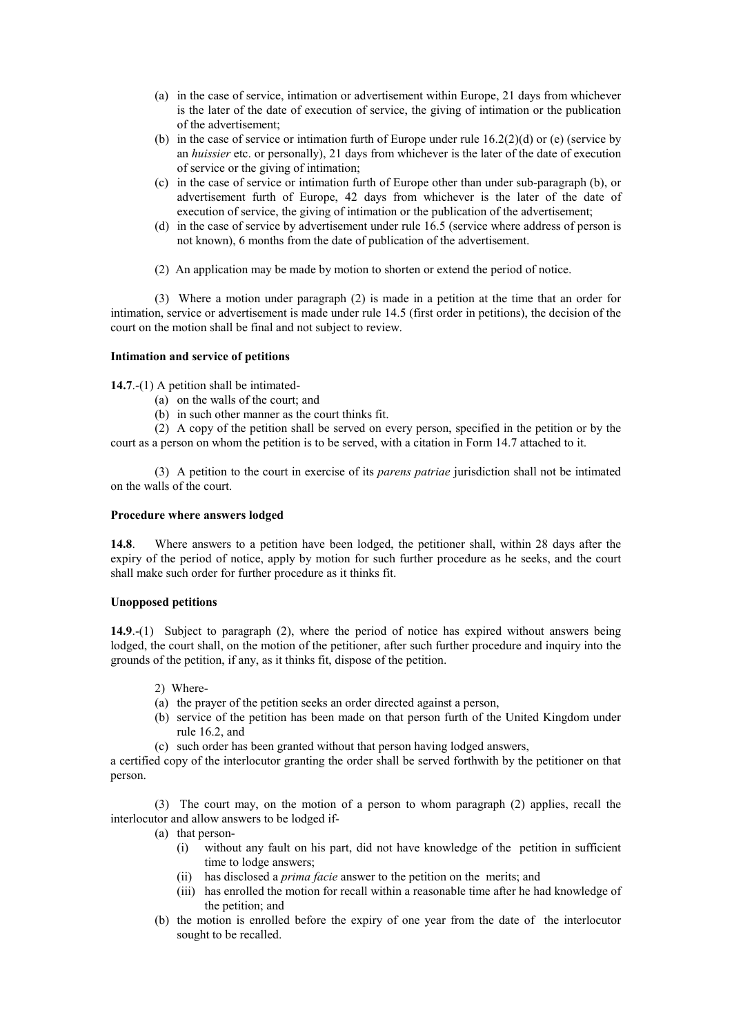- (a) in the case of service, intimation or advertisement within Europe, 21 days from whichever is the later of the date of execution of service, the giving of intimation or the publication of the advertisement;
- (b) in the case of service or intimation furth of Europe under rule  $16.2(2)(d)$  or (e) (service by an *huissier* etc. or personally), 21 days from whichever is the later of the date of execution of service or the giving of intimation;
- (c) in the case of service or intimation furth of Europe other than under sub-paragraph (b), or advertisement furth of Europe, 42 days from whichever is the later of the date of execution of service, the giving of intimation or the publication of the advertisement;
- (d) in the case of service by advertisement under rule 16.5 (service where address of person is not known), 6 months from the date of publication of the advertisement.
- (2) An application may be made by motion to shorten or extend the period of notice.

(3) Where a motion under paragraph (2) is made in a petition at the time that an order for intimation, service or advertisement is made under rule 14.5 (first order in petitions), the decision of the court on the motion shall be final and not subject to review.

## **Intimation and service of petitions**

**14.7**.-(1) A petition shall be intimated-

- (a) on the walls of the court; and
- (b) in such other manner as the court thinks fit.

(2) A copy of the petition shall be served on every person, specified in the petition or by the court as a person on whom the petition is to be served, with a citation in Form 14.7 attached to it.

(3) A petition to the court in exercise of its *parens patriae* jurisdiction shall not be intimated on the walls of the court.

### **Procedure where answers lodged**

**14.8**. Where answers to a petition have been lodged, the petitioner shall, within 28 days after the expiry of the period of notice, apply by motion for such further procedure as he seeks, and the court shall make such order for further procedure as it thinks fit.

#### **Unopposed petitions**

**14.9**.-(1) Subject to paragraph (2), where the period of notice has expired without answers being lodged, the court shall, on the motion of the petitioner, after such further procedure and inquiry into the grounds of the petition, if any, as it thinks fit, dispose of the petition.

- 2) Where-
- (a) the prayer of the petition seeks an order directed against a person,
- (b) service of the petition has been made on that person furth of the United Kingdom under rule 16.2, and
- (c) such order has been granted without that person having lodged answers,

a certified copy of the interlocutor granting the order shall be served forthwith by the petitioner on that person.

(3) The court may, on the motion of a person to whom paragraph (2) applies, recall the interlocutor and allow answers to be lodged if-

- (a) that person-
	- (i) without any fault on his part, did not have knowledge of the petition in sufficient time to lodge answers;
	- (ii) has disclosed a *prima facie* answer to the petition on the merits; and
	- (iii) has enrolled the motion for recall within a reasonable time after he had knowledge of the petition; and
- (b) the motion is enrolled before the expiry of one year from the date of the interlocutor sought to be recalled.